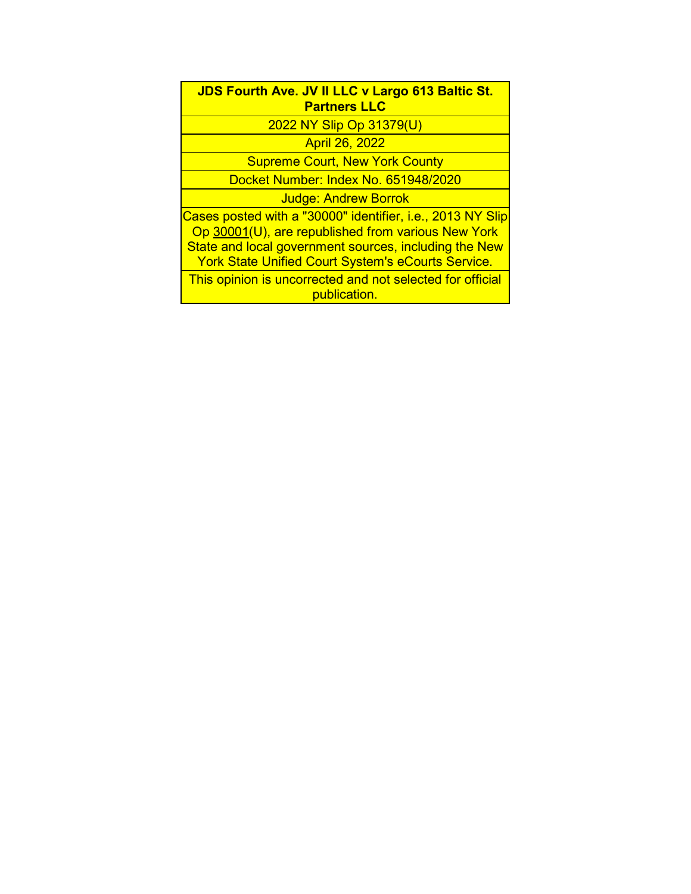| <b>JDS Fourth Ave. JV II LLC v Largo 613 Baltic St.</b> |  |  |
|---------------------------------------------------------|--|--|
| <b>Partners LLC</b>                                     |  |  |

2022 NY Slip Op 31379(U)

April 26, 2022

Supreme Court, New York County

Docket Number: Index No. 651948/2020

Judge: Andrew Borrok

Cases posted with a "30000" identifier, i.e., 2013 NY Slip Op 30001(U), are republished from various New York State and local government sources, including the New York State Unified Court System's eCourts Service.

This opinion is uncorrected and not selected for official publication.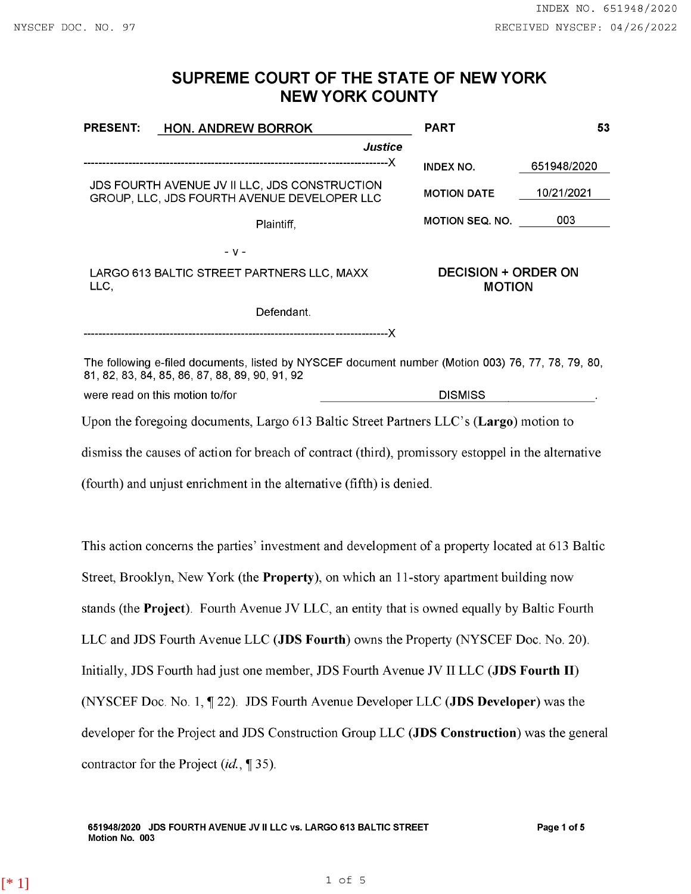## **SUPREME COURT OF THE STATE OF NEW YORK NEW YORK COUNTY**

| <b>PRESENT:</b>                                    | <b>HON. ANDREW BORROK</b>                                                                                                                                                                  | <b>PART</b>                                 | 53          |
|----------------------------------------------------|--------------------------------------------------------------------------------------------------------------------------------------------------------------------------------------------|---------------------------------------------|-------------|
|                                                    | Justice                                                                                                                                                                                    |                                             |             |
|                                                    |                                                                                                                                                                                            | <b>INDEX NO.</b>                            | 651948/2020 |
|                                                    | JDS FOURTH AVENUE JV II LLC, JDS CONSTRUCTION<br>GROUP, LLC, JDS FOURTH AVENUE DEVELOPER LLC                                                                                               | <b>MOTION DATE</b>                          | 10/21/2021  |
|                                                    | Plaintiff,                                                                                                                                                                                 | <b>MOTION SEQ. NO.</b>                      | 003         |
|                                                    | $- V -$                                                                                                                                                                                    |                                             |             |
| LARGO 613 BALTIC STREET PARTNERS LLC, MAXX<br>LLC, |                                                                                                                                                                                            | <b>DECISION + ORDER ON</b><br><b>MOTION</b> |             |
|                                                    | Defendant.                                                                                                                                                                                 |                                             |             |
|                                                    |                                                                                                                                                                                            |                                             |             |
|                                                    | The following e-filed documents, listed by NYSCEF document number (Motion 003) 76, 77, 78, 79, 80,<br>81, 82, 83, 84, 85, 86, 87, 88, 89, 90, 91, 92                                       |                                             |             |
| were read on this motion to/for                    |                                                                                                                                                                                            | <b>DISMISS</b>                              |             |
|                                                    | Upon the foregoing documents, Largo 613 Baltic Street Partners LLC's (Largo) motion to                                                                                                     |                                             |             |
|                                                    | $\mathcal{A}^*$ . The state of $\mathcal{A}^*$ is the state of $\mathcal{A}^*$ . The state of $\mathcal{A}^*$ is the state of the state of $\mathcal{A}^*$ is the state of $\mathcal{A}^*$ |                                             |             |

dismiss the causes of action for breach of contract (third), promissory estoppel in the alternative

(fourth) and unjust enrichment in the alternative (fifth) is denied.

This action concerns the parties' investment and development of a property located at 613 Baltic Street, Brooklyn, New York (the **Property),** on which an I I-story apartment building now stands (the **Project).** Fourth Avenue JV LLC, an entity that is owned equally by Baltic Fourth LLC and JDS Fourth Avenue LLC **(JDS Fourth)** owns the Property (NYSCEF Doc. No. 20). Initially, JDS Fourth had just one member, JDS Fourth Avenue JV II LLC **(JDS Fourth** II) (NYSCEF Doc. No. 1, 1 22). JDS Fourth Avenue Developer LLC (**JDS Developer**) was the developer for the Project and JDS Construction Group LLC **(JDS Construction)** was the general contractor for the Project (id., 1 35).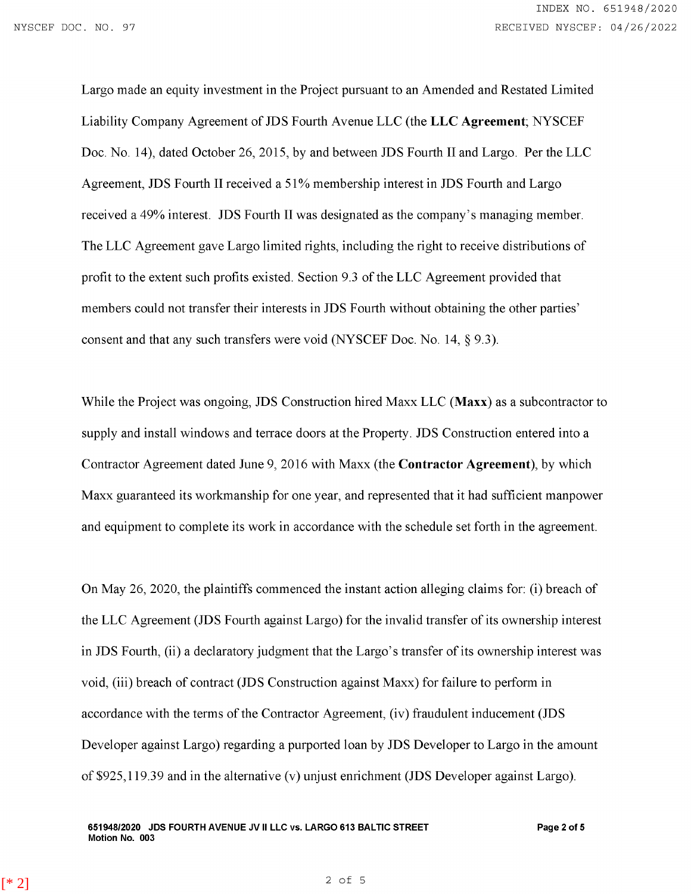Largo made an equity investment in the Project pursuant to an Amended and Restated Limited Liability Company Agreement of JDS Fourth Avenue LLC (the **LLC Agreement;** NYSCEF Doc. No. 14), dated October 26, 2015, by and between JDS Fourth II and Largo. Per the LLC Agreement, JDS Fourth II received a 51% membership interest in JDS Fourth and Largo received a 49% interest. JDS Fourth II was designated as the company's managing member. The LLC Agreement gave Largo limited rights, including the right to receive distributions of profit to the extent such profits existed. Section 9.3 of the LLC Agreement provided that members could not transfer their interests in JDS Fourth without obtaining the other parties' consent and that any such transfers were void (NYSCEF Doc. No. 14, § 9.3).

While the Project was ongoing, JDS Construction hired Maxx LLC **(Maxx)** as a subcontractor to supply and install windows and terrace doors at the Property. JDS Construction entered into a Contractor Agreement dated June 9, 2016 with Maxx (the **Contractor Agreement),** by which Maxx guaranteed its workmanship for one year, and represented that it had sufficient manpower and equipment to complete its work in accordance with the schedule set forth in the agreement.

On May 26, 2020, the plaintiffs commenced the instant action alleging claims for: (i) breach of the LLC Agreement (JDS Fourth against Largo) for the invalid transfer of its ownership interest in JDS Fourth, (ii) a declaratory judgment that the Largo's transfer of its ownership interest was void, (iii) breach of contract (JDS Construction against Maxx) for failure to perform in accordance with the terms of the Contractor Agreement, (iv) fraudulent inducement (JDS Developer against Largo) regarding a purported loan by **JDS** Developer to Largo in the amount of \$925,119.39 and in the alternative (v) unjust enrichment (JDS Developer against Largo).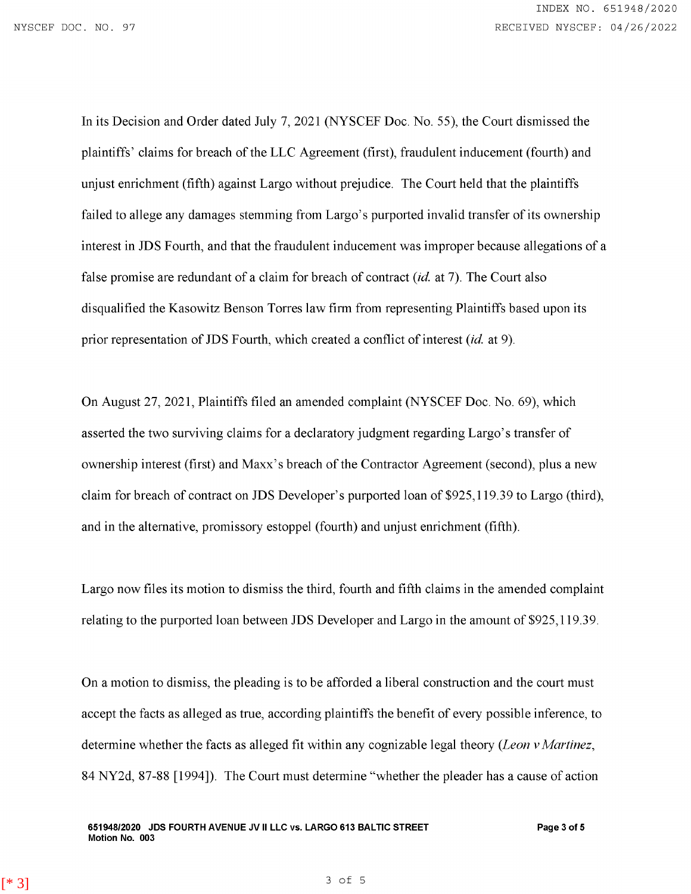In its Decision and Order dated July 7, 2021 (NYSCEF Doc. No. 55), the Court dismissed the plaintiffs' claims for breach of the LLC Agreement (first), fraudulent inducement (fourth) and unjust enrichment (fifth) against Largo without prejudice. The Court held that the plaintiffs failed to allege any damages stemming from Largo's purported invalid transfer of its ownership interest in JDS Fourth, and that the fraudulent inducement was improper because allegations of a false promise are redundant of a claim for breach of contract  $(id.$  at 7). The Court also disqualified the Kasowitz Benson Torres law firm from representing Plaintiffs based upon its prior representation of JDS Fourth, which created a conflict of interest (id. at 9).

On August 27, 2021, Plaintiffs filed an amended complaint (NYSCEF Doc. No. 69), which asserted the two surviving claims for a declaratory judgment regarding Largo' s transfer of ownership interest (first) and Maxx's breach of the Contractor Agreement (second), plus a new claim for breach of contract on JDS Developer's purported loan of \$925,119.39 to Largo (third), and in the alternative, promissory estoppel (fourth) and unjust enrichment (fifth).

Largo now files its motion to dismiss the third, fourth and fifth claims in the amended complaint relating to the purported loan between **JDS** Developer and Largo in the amount of \$925,119.39.

On a motion to dismiss, the pleading is to be afforded a liberal construction and the court must accept the facts as alleged as true, according plaintiffs the benefit of every possible inference, to determine whether the facts as alleged fit within any cognizable legal theory *(Leon v Martinez,*  84 NY2d, 87-88 [1994]). The Court must determine "whether the pleader has a cause of action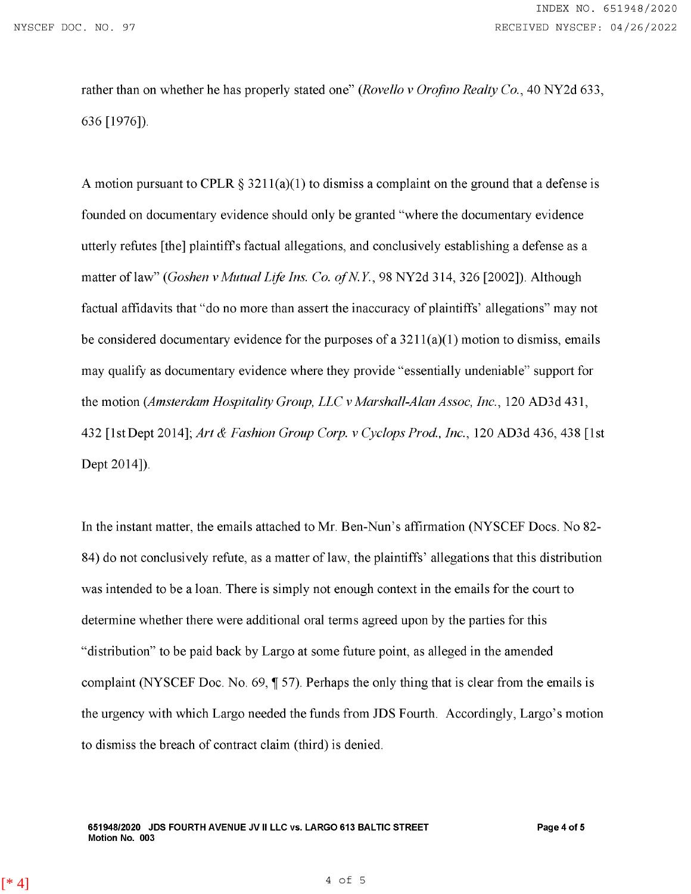rather than on whether he has properly stated one" *(Rovella v Orofino Realty Co.,* 40 NY2d 633, 636 [1976]).

A motion pursuant to CPLR § 3211(a)(1) to dismiss a complaint on the ground that a defense is founded on documentary evidence should only be granted "where the documentary evidence utterly refutes [the] plaintiffs factual allegations, and conclusively establishing a defense as a matter of law" *(Goshen v Mutual Life Ins. Co. of N.Y.*, 98 NY2d 314, 326 [2002]). Although factual affidavits that "do no more than assert the inaccuracy of plaintiffs' allegations" may not be considered documentary evidence for the purposes of a  $3211(a)(1)$  motion to dismiss, emails may qualify as documentary evidence where they provide "essentially undeniable" support for the motion *(Amsterdam Hospitality Group, LLC v Marshall-Alan Assoc, Inc.,* 120 AD3d 431, 432 [I st Dept 2014]; *Art & Fashion Group Corp. v Cyclops Prod, Inc.,* 120 AD3d 436, 438 [1st Dept 2014]).

In the instant matter, the emails attached to Mr. Ben-Nun's affirmation (NYSCEF Docs. No 82- 84) do not conclusively refute, as a matter of law, the plaintiffs' allegations that this distribution was intended to be a loan. There is simply not enough context in the emails for the court to determine whether there were additional oral terms agreed upon by the parties for this "distribution" to be paid back by Largo at some future point, as alleged in the amended complaint (NYSCEF Doc. No. 69, 1 57). Perhaps the only thing that is clear from the emails is the urgency with which Largo needed the funds from JDS Fourth. Accordingly, Largo's motion to dismiss the breach of contract claim (third) is denied.